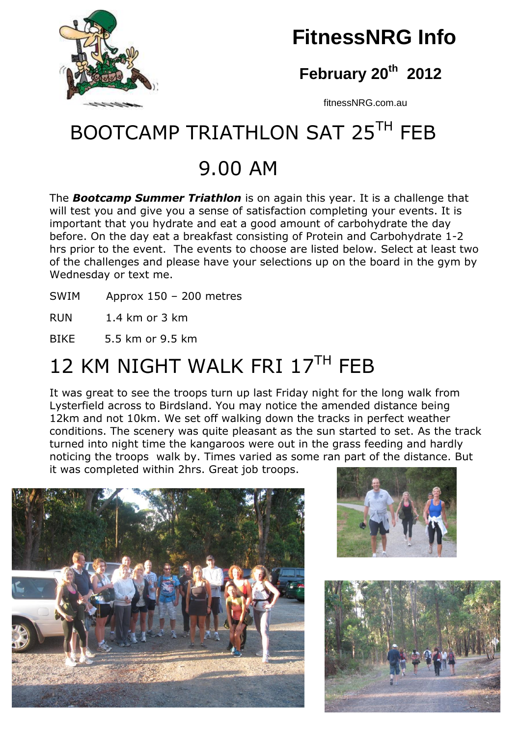

## **February 20th 2012**

fitnessNRG.com.au

# BOOTCAMP TRIATHLON SAT 25TH FFB

## 9.00 AM

The *Bootcamp Summer Triathlon* is on again this year. It is a challenge that will test you and give you a sense of satisfaction completing your events. It is important that you hydrate and eat a good amount of carbohydrate the day before. On the day eat a breakfast consisting of Protein and Carbohydrate 1-2 hrs prior to the event. The events to choose are listed below. Select at least two of the challenges and please have your selections up on the board in the gym by Wednesday or text me.

SWIM Approx 150 – 200 metres

RUN 1.4 km or 3 km

BIKE 5.5 km or 9.5 km

# 12 KM NIGHT WALK FRI 17TH FFR

It was great to see the troops turn up last Friday night for the long walk from Lysterfield across to Birdsland. You may notice the amended distance being 12km and not 10km. We set off walking down the tracks in perfect weather conditions. The scenery was quite pleasant as the sun started to set. As the track turned into night time the kangaroos were out in the grass feeding and hardly noticing the troops walk by. Times varied as some ran part of the distance. But it was completed within 2hrs. Great job troops.







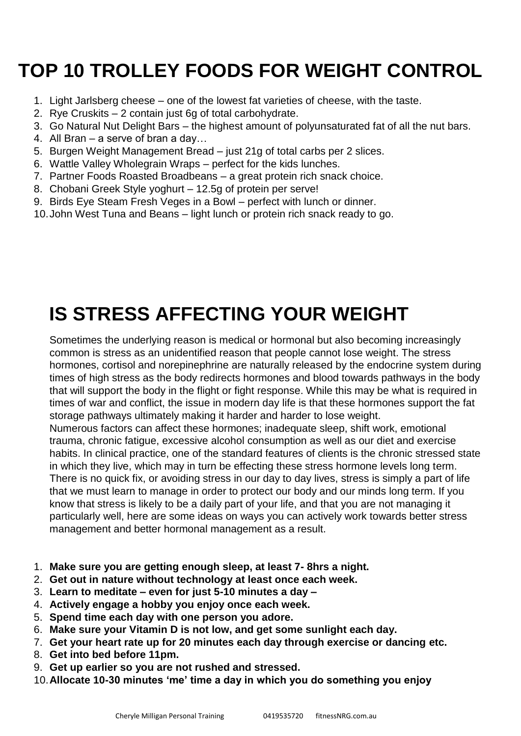# **TOP 10 TROLLEY FOODS FOR WEIGHT CONTROL**

- 1. Light Jarlsberg cheese one of the lowest fat varieties of cheese, with the taste.
- 2. Rye Cruskits 2 contain just 6g of total carbohydrate.
- 3. Go Natural Nut Delight Bars the highest amount of polyunsaturated fat of all the nut bars.
- 4. All Bran a serve of bran a day…
- 5. Burgen Weight Management Bread just 21g of total carbs per 2 slices.
- 6. Wattle Valley Wholegrain Wraps perfect for the kids lunches.
- 7. Partner Foods Roasted Broadbeans a great protein rich snack choice.
- 8. Chobani Greek Style yoghurt 12.5g of protein per serve!
- 9. Birds Eye Steam Fresh Veges in a Bowl perfect with lunch or dinner.
- 10.John West Tuna and Beans light lunch or protein rich snack ready to go.

## **IS STRESS AFFECTING YOUR WEIGHT**

Sometimes the underlying reason is medical or hormonal but also becoming increasingly common is stress as an unidentified reason that people cannot lose weight. The stress hormones, cortisol and norepinephrine are naturally released by the endocrine system during times of high stress as the body redirects hormones and blood towards pathways in the body that will support the body in the flight or fight response. While this may be what is required in times of war and conflict, the issue in modern day life is that these hormones support the fat storage pathways ultimately making it harder and harder to lose weight.

Numerous factors can affect these hormones; inadequate sleep, shift work, emotional trauma, chronic fatigue, excessive alcohol consumption as well as our diet and exercise habits. In clinical practice, one of the standard features of clients is the chronic stressed state in which they live, which may in turn be effecting these stress hormone levels long term. There is no quick fix, or avoiding stress in our day to day lives, stress is simply a part of life that we must learn to manage in order to protect our body and our minds long term. If you know that stress is likely to be a daily part of your life, and that you are not managing it particularly well, here are some ideas on ways you can actively work towards better stress management and better hormonal management as a result.

- 1. **Make sure you are getting enough sleep, at least 7- 8hrs a night.**
- 2. **Get out in nature without technology at least once each week.**
- 3. **Learn to meditate – even for just 5-10 minutes a day –**
- 4. **Actively engage a hobby you enjoy once each week.**
- 5. **Spend time each day with one person you adore.**
- 6. **Make sure your Vitamin D is not low, and get some sunlight each day.**
- 7. **Get your heart rate up for 20 minutes each day through exercise or dancing etc.**
- 8. **Get into bed before 11pm.**
- 9. **Get up earlier so you are not rushed and stressed.**
- 10.**Allocate 10-30 minutes 'me' time a day in which you do something you enjoy**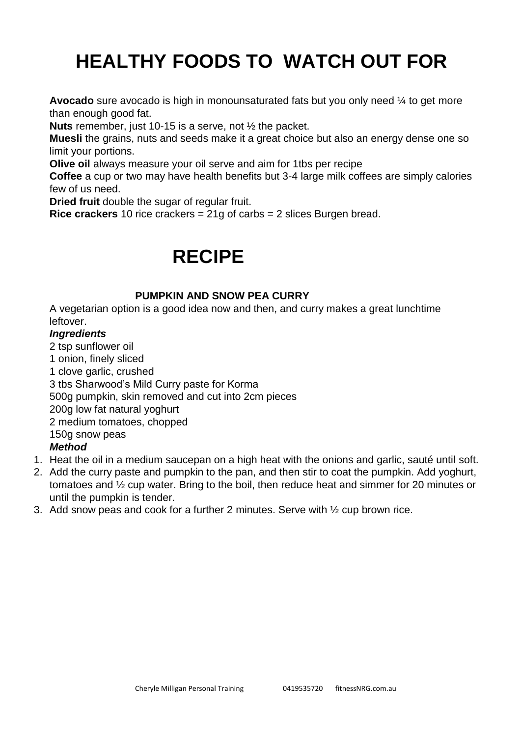## **HEALTHY FOODS TO WATCH OUT FOR**

**Avocado** sure avocado is high in monounsaturated fats but you only need  $\frac{1}{4}$  to get more than enough good fat.

**Nuts** remember, just 10-15 is a serve, not ½ the packet.

**Muesli** the grains, nuts and seeds make it a great choice but also an energy dense one so limit your portions.

**Olive oil** always measure your oil serve and aim for 1tbs per recipe

**Coffee** a cup or two may have health benefits but 3-4 large milk coffees are simply calories few of us need.

**Dried fruit** double the sugar of regular fruit.

**Rice crackers** 10 rice crackers = 21g of carbs = 2 slices Burgen bread.

## **RECIPE**

#### **PUMPKIN AND SNOW PEA CURRY**

A vegetarian option is a good idea now and then, and curry makes a great lunchtime leftover.

#### *Ingredients*

2 tsp sunflower oil

1 onion, finely sliced

1 clove garlic, crushed

3 tbs Sharwood's Mild Curry paste for Korma

500g pumpkin, skin removed and cut into 2cm pieces

200g low fat natural yoghurt

2 medium tomatoes, chopped

150g snow peas

#### *Method*

- 1. Heat the oil in a medium saucepan on a high heat with the onions and garlic, sauté until soft.
- 2. Add the curry paste and pumpkin to the pan, and then stir to coat the pumpkin. Add yoghurt, tomatoes and ½ cup water. Bring to the boil, then reduce heat and simmer for 20 minutes or until the pumpkin is tender.
- 3. Add snow peas and cook for a further 2 minutes. Serve with ½ cup brown rice.